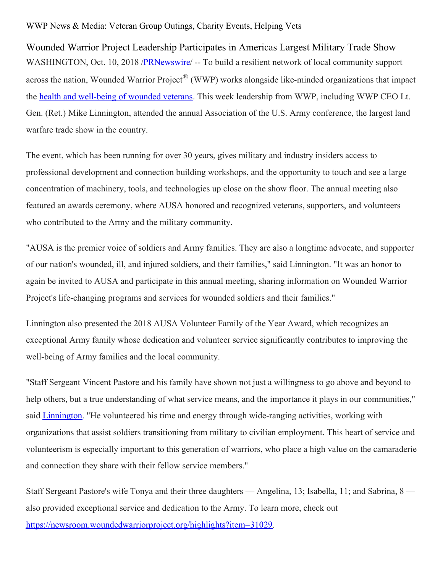## WWP News & Media: Veteran Group Outings, Charity Events, Helping Vets

Wounded Warrior Project Leadership Participates in Americas Largest Military Trade Show WASHINGTON, Oct. 10, 2018 /**PRNewswire** -- To build a resilient network of local community support across the nation, Wounded Warrior Project® (WWP) works alongside like-minded organizations that impact the health and [well-being](https://www.woundedwarriorproject.org/programs/physical-health-wellness) of wounded veterans. This week leadership from WWP, including WWP CEO Lt. Gen. (Ret.) Mike Linnington, attended the annual Association of the U.S. Army conference, the largest land warfare trade show in the country.

The event, which has been running for over 30 years, gives military and industry insiders access to professional development and connection building workshops, and the opportunity to touch and see a large concentration of machinery, tools, and technologies up close on the show floor. The annual meeting also featured an awards ceremony, where AUSA honored and recognized veterans, supporters, and volunteers who contributed to the Army and the military community.

"AUSA is the premier voice of soldiers and Army families. They are also a longtime advocate, and supporter of our nation's wounded, ill, and injured soldiers, and their families," said Linnington. "It was an honor to again be invited to AUSA and participate in this annual meeting, sharing information on Wounded Warrior Project's life-changing programs and services for wounded soldiers and their families."

Linnington also presented the 2018 AUSA Volunteer Family of the Year Award, which recognizes an exceptional Army family whose dedication and volunteer service significantly contributes to improving the well-being of Army families and the local community.

"Staff Sergeant Vincent Pastore and his family have shown not just a willingness to go above and beyond to help others, but a true understanding of what service means, and the importance it plays in our communities," said *[Linnington](https://www.woundedwarriorproject.org/mission/leadership/michael-linnington)*. "He volunteered his time and energy through wide-ranging activities, working with organizations that assist soldiers transitioning from military to civilian employment. This heart of service and volunteerism is especially important to this generation of warriors, who place a high value on the camaraderie and connection they share with their fellow service members."

Staff Sergeant Pastore's wife Tonya and their three daughters — Angelina, 13; Isabella, 11; and Sabrina, 8 also provided exceptional service and dedication to the Army. To learn more, check out [https://newsroom.woundedwarriorproject.org/highlights?item=31029](https://c212.net/c/link/?t=0&l=en&o=2263712-1&h=1206512538&u=https%3A%2F%2Fnewsroom.woundedwarriorproject.org%2Fhighlights%3Fitem%3D31029&a=https%3A%2F%2Fnewsroom.woundedwarriorproject.org%2Fhighlights%3Fitem%3D31029).